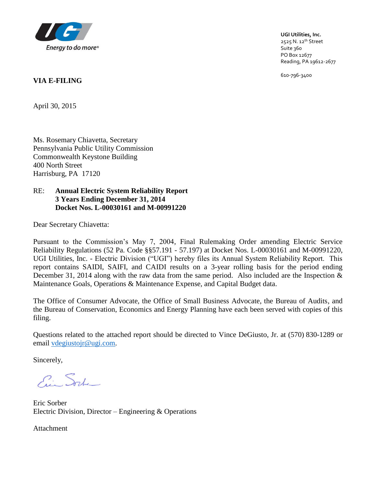

**UGI Utilities, Inc.** 2525 N. 12<sup>th</sup> Street Suite 360 PO Box 12677 Reading, PA 19612-2677

610-796-3400

### **VIA E-FILING**

April 30, 2015

Ms. Rosemary Chiavetta, Secretary Pennsylvania Public Utility Commission Commonwealth Keystone Building 400 North Street Harrisburg, PA 17120

### RE: **Annual Electric System Reliability Report 3 Years Ending December 31, 2014 Docket Nos. L-00030161 and M-00991220**

Dear Secretary Chiavetta:

Pursuant to the Commission's May 7, 2004, Final Rulemaking Order amending Electric Service Reliability Regulations (52 Pa. Code §§57.191 - 57.197) at Docket Nos. L-00030161 and M-00991220, UGI Utilities, Inc. - Electric Division ("UGI") hereby files its Annual System Reliability Report. This report contains SAIDI, SAIFI, and CAIDI results on a 3-year rolling basis for the period ending December 31, 2014 along with the raw data from the same period. Also included are the Inspection & Maintenance Goals, Operations & Maintenance Expense, and Capital Budget data.

The Office of Consumer Advocate, the Office of Small Business Advocate, the Bureau of Audits, and the Bureau of Conservation, Economics and Energy Planning have each been served with copies of this filing.

Questions related to the attached report should be directed to Vince DeGiusto, Jr. at (570) 830-1289 or email [vdegiustojr@ugi.com.](mailto:vdegiustojr@ugi.com)

Sincerely,

Ein Sorte

Eric Sorber Electric Division, Director – Engineering & Operations

Attachment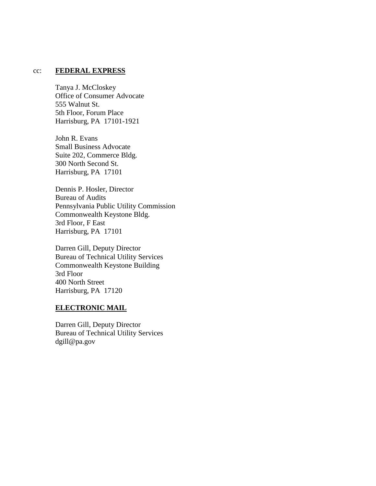#### cc: **FEDERAL EXPRESS**

Tanya J. McCloskey Office of Consumer Advocate 555 Walnut St. 5th Floor, Forum Place Harrisburg, PA 17101-1921

John R. Evans Small Business Advocate Suite 202, Commerce Bldg. 300 North Second St. Harrisburg, PA 17101

Dennis P. Hosler, Director Bureau of Audits Pennsylvania Public Utility Commission Commonwealth Keystone Bldg. 3rd Floor, F East Harrisburg, PA 17101

Darren Gill, Deputy Director Bureau of Technical Utility Services Commonwealth Keystone Building 3rd Floor 400 North Street Harrisburg, PA 17120

#### **ELECTRONIC MAIL**

Darren Gill, Deputy Director Bureau of Technical Utility Services dgill@pa.gov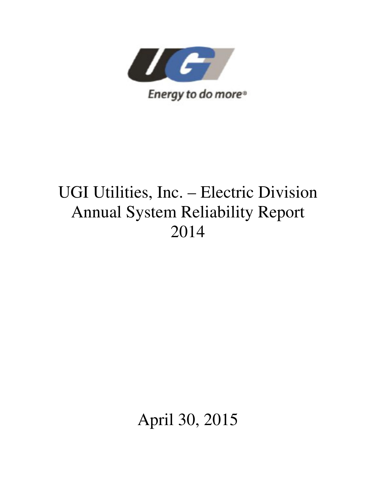

# UGI Utilities, Inc. – Electric Division Annual System Reliability Report 2014

April 30, 2015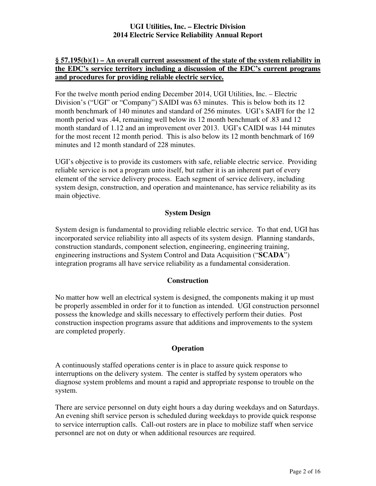### **§ 57.195(b)(1) – An overall current assessment of the state of the system reliability in the EDC's service territory including a discussion of the EDC's current programs and procedures for providing reliable electric service.**

For the twelve month period ending December 2014, UGI Utilities, Inc. – Electric Division's ("UGI" or "Company") SAIDI was 63 minutes. This is below both its 12 month benchmark of 140 minutes and standard of 256 minutes. UGI's SAIFI for the 12 month period was .44, remaining well below its 12 month benchmark of .83 and 12 month standard of 1.12 and an improvement over 2013. UGI's CAIDI was 144 minutes for the most recent 12 month period. This is also below its 12 month benchmark of 169 minutes and 12 month standard of 228 minutes.

UGI's objective is to provide its customers with safe, reliable electric service. Providing reliable service is not a program unto itself, but rather it is an inherent part of every element of the service delivery process. Each segment of service delivery, including system design, construction, and operation and maintenance, has service reliability as its main objective.

### **System Design**

System design is fundamental to providing reliable electric service. To that end, UGI has incorporated service reliability into all aspects of its system design. Planning standards, construction standards, component selection, engineering, engineering training, engineering instructions and System Control and Data Acquisition ("**SCADA**") integration programs all have service reliability as a fundamental consideration.

#### **Construction**

No matter how well an electrical system is designed, the components making it up must be properly assembled in order for it to function as intended. UGI construction personnel possess the knowledge and skills necessary to effectively perform their duties. Post construction inspection programs assure that additions and improvements to the system are completed properly.

#### **Operation**

A continuously staffed operations center is in place to assure quick response to interruptions on the delivery system. The center is staffed by system operators who diagnose system problems and mount a rapid and appropriate response to trouble on the system.

There are service personnel on duty eight hours a day during weekdays and on Saturdays. An evening shift service person is scheduled during weekdays to provide quick response to service interruption calls. Call-out rosters are in place to mobilize staff when service personnel are not on duty or when additional resources are required.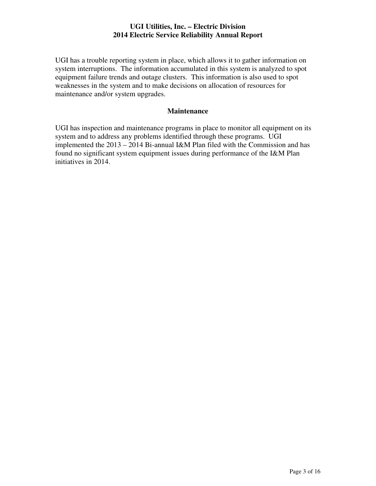UGI has a trouble reporting system in place, which allows it to gather information on system interruptions. The information accumulated in this system is analyzed to spot equipment failure trends and outage clusters. This information is also used to spot weaknesses in the system and to make decisions on allocation of resources for maintenance and/or system upgrades.

### **Maintenance**

UGI has inspection and maintenance programs in place to monitor all equipment on its system and to address any problems identified through these programs. UGI implemented the 2013 – 2014 Bi-annual I&M Plan filed with the Commission and has found no significant system equipment issues during performance of the I&M Plan initiatives in 2014.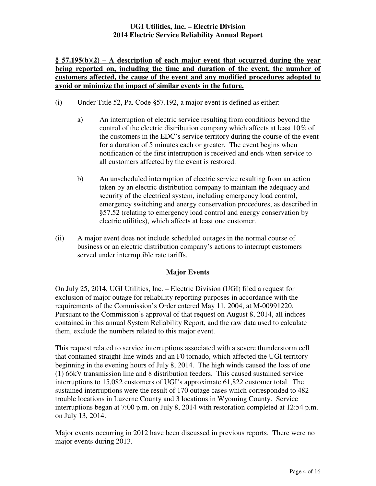### **§ 57.195(b)(2) – A description of each major event that occurred during the year being reported on, including the time and duration of the event, the number of customers affected, the cause of the event and any modified procedures adopted to avoid or minimize the impact of similar events in the future.**

- (i) Under Title 52, Pa. Code §57.192, a major event is defined as either:
	- a) An interruption of electric service resulting from conditions beyond the control of the electric distribution company which affects at least 10% of the customers in the EDC's service territory during the course of the event for a duration of 5 minutes each or greater. The event begins when notification of the first interruption is received and ends when service to all customers affected by the event is restored.
	- b) An unscheduled interruption of electric service resulting from an action taken by an electric distribution company to maintain the adequacy and security of the electrical system, including emergency load control, emergency switching and energy conservation procedures, as described in §57.52 (relating to emergency load control and energy conservation by electric utilities), which affects at least one customer.
- (ii) A major event does not include scheduled outages in the normal course of business or an electric distribution company's actions to interrupt customers served under interruptible rate tariffs.

### **Major Events**

On July 25, 2014, UGI Utilities, Inc. – Electric Division (UGI) filed a request for exclusion of major outage for reliability reporting purposes in accordance with the requirements of the Commission's Order entered May 11, 2004, at M-00991220. Pursuant to the Commission's approval of that request on August 8, 2014, all indices contained in this annual System Reliability Report, and the raw data used to calculate them, exclude the numbers related to this major event.

This request related to service interruptions associated with a severe thunderstorm cell that contained straight-line winds and an F0 tornado, which affected the UGI territory beginning in the evening hours of July 8, 2014. The high winds caused the loss of one (1) 66kV transmission line and 8 distribution feeders. This caused sustained service interruptions to 15,082 customers of UGI's approximate 61,822 customer total. The sustained interruptions were the result of 170 outage cases which corresponded to 482 trouble locations in Luzerne County and 3 locations in Wyoming County. Service interruptions began at 7:00 p.m. on July 8, 2014 with restoration completed at 12:54 p.m. on July 13, 2014.

Major events occurring in 2012 have been discussed in previous reports. There were no major events during 2013.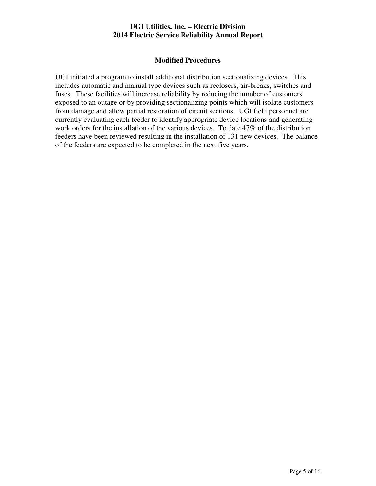### **Modified Procedures**

UGI initiated a program to install additional distribution sectionalizing devices. This includes automatic and manual type devices such as reclosers, air-breaks, switches and fuses. These facilities will increase reliability by reducing the number of customers exposed to an outage or by providing sectionalizing points which will isolate customers from damage and allow partial restoration of circuit sections. UGI field personnel are currently evaluating each feeder to identify appropriate device locations and generating work orders for the installation of the various devices. To date 47% of the distribution feeders have been reviewed resulting in the installation of 131 new devices. The balance of the feeders are expected to be completed in the next five years.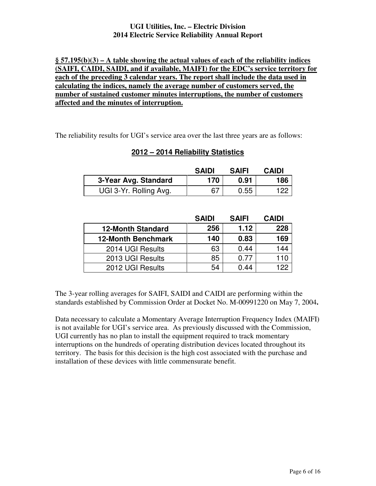### **§ 57.195(b)(3) – A table showing the actual values of each of the reliability indices (SAIFI, CAIDI, SAIDI, and if available, MAIFI) for the EDC's service territory for each of the preceding 3 calendar years. The report shall include the data used in calculating the indices, namely the average number of customers served, the number of sustained customer minutes interruptions, the number of customers affected and the minutes of interruption.**

The reliability results for UGI's service area over the last three years are as follows:

### **2012 – 2014 Reliability Statistics**

|                        | <b>SAIDI</b> | <b>SAIFI</b> | <b>CAIDI</b> |
|------------------------|--------------|--------------|--------------|
| 3-Year Avg. Standard   | 170          | 0.91         | 186          |
| UGI 3-Yr. Rolling Avg. | 67           | 0.55         | 122          |

|                           | <b>SAIDI</b> | <b>SAIFI</b> | <b>CAIDI</b> |
|---------------------------|--------------|--------------|--------------|
| <b>12-Month Standard</b>  | 256          | 1.12         | 228          |
| <b>12-Month Benchmark</b> | 140          | 0.83         | 169          |
| 2014 UGI Results          | 63           | 0.44         | 144          |
| 2013 UGI Results          | 85           | 0.77         | 110          |
| 2012 UGI Results          | 54           | 0.44         |              |

The 3-year rolling averages for SAIFI, SAIDI and CAIDI are performing within the standards established by Commission Order at Docket No. M-00991220 on May 7, 2004**.**

Data necessary to calculate a Momentary Average Interruption Frequency Index (MAIFI) is not available for UGI's service area. As previously discussed with the Commission, UGI currently has no plan to install the equipment required to track momentary interruptions on the hundreds of operating distribution devices located throughout its territory. The basis for this decision is the high cost associated with the purchase and installation of these devices with little commensurate benefit.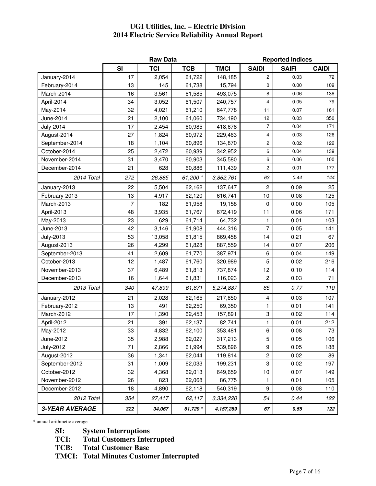|                       | <b>Raw Data</b> |            |            |             | <b>Reported Indices</b> |              |              |  |
|-----------------------|-----------------|------------|------------|-------------|-------------------------|--------------|--------------|--|
|                       | <b>SI</b>       | <b>TCI</b> | <b>TCB</b> | <b>TMCI</b> | <b>SAIDI</b>            | <b>SAIFI</b> | <b>CAIDI</b> |  |
| January-2014          | 17              | 2,054      | 61,722     | 148,185     | $\overline{c}$          | 0.03         | 72           |  |
| February-2014         | 13              | 145        | 61,738     | 15,794      | 0                       | 0.00         | 109          |  |
| March-2014            | 16              | 3,561      | 61,585     | 493,075     | 8                       | 0.06         | 138          |  |
| April-2014            | 34              | 3,052      | 61,507     | 240,757     | 4                       | 0.05         | 79           |  |
| May-2014              | 32              | 4,021      | 61,210     | 647,778     | 11                      | 0.07         | 161          |  |
| June-2014             | 21              | 2,100      | 61,060     | 734,190     | 12                      | 0.03         | 350          |  |
| <b>July-2014</b>      | 17              | 2,454      | 60,985     | 418,678     | 7                       | 0.04         | 171          |  |
| August-2014           | 27              | 1,824      | 60,972     | 229,463     | 4                       | 0.03         | 126          |  |
| September-2014        | 18              | 1,104      | 60,896     | 134,870     | 2                       | 0.02         | 122          |  |
| October-2014          | 25              | 2,472      | 60,939     | 342,952     | 6                       | 0.04         | 139          |  |
| November-2014         | 31              | 3,470      | 60,903     | 345,580     | 6                       | 0.06         | 100          |  |
| December-2014         | 21              | 628        | 60,886     | 111,439     | 2                       | 0.01         | 177          |  |
| 2014 Total            | 272             | 26,885     | 61,200 *   | 3,862,761   | 63                      | 0.44         | 144          |  |
| January-2013          | 22              | 5,504      | 62,162     | 137,647     | $\overline{c}$          | 0.09         | 25           |  |
| February-2013         | 13              | 4,917      | 62,120     | 616,741     | 10                      | 0.08         | 125          |  |
| March-2013            | 7               | 182        | 61,958     | 19,158      | 0                       | 0.00         | 105          |  |
| April-2013            | 48              | 3,935      | 61,767     | 672,419     | 11                      | 0.06         | 171          |  |
| May-2013              | 23              | 629        | 61,714     | 64,732      | 1                       | 0.01         | 103          |  |
| June-2013             | 42              | 3,146      | 61,908     | 444,316     | 7                       | 0.05         | 141          |  |
| <b>July-2013</b>      | 53              | 13,058     | 61,815     | 869,458     | 14                      | 0.21         | 67           |  |
| August-2013           | 26              | 4,299      | 61,828     | 887,559     | 14                      | 0.07         | 206          |  |
| September-2013        | 41              | 2,609      | 61,770     | 387,971     | 6                       | 0.04         | 149          |  |
| October-2013          | 12              | 1,487      | 61,760     | 320,989     | 5                       | 0.02         | 216          |  |
| November-2013         | 37              | 6,489      | 61,813     | 737,874     | 12                      | 0.10         | 114          |  |
| December-2013         | 16              | 1,644      | 61,831     | 116,023     | 2                       | 0.03         | 71           |  |
| 2013 Total            | 340             | 47,899     | 61,871     | 5,274,887   | 85                      | 0.77         | 110          |  |
| January-2012          | 21              | 2,028      | 62,165     | 217,850     | 4                       | 0.03         | 107          |  |
| February-2012         | 13              | 491        | 62,250     | 69,350      | 1                       | 0.01         | 141          |  |
| March-2012            | 17              | 1,390      | 62,453     | 157,891     | 3                       | 0.02         | 114          |  |
| April-2012            | 21              | 391        | 62,137     | 82,741      | 1                       | 0.01         | 212          |  |
| May-2012              | 33              | 4,832      | 62,100     | 353,481     | 6                       | 0.08         | $73\,$       |  |
| June-2012             | 35              | 2,988      | 62,027     | 317,213     | 5                       | 0.05         | 106          |  |
| <b>July-2012</b>      | 71              | 2,866      | 61,994     | 539,896     | 9                       | 0.05         | 188          |  |
| August-2012           | 36              | 1,341      | 62,044     | 119,814     | $\overline{c}$          | 0.02         | 89           |  |
| September-2012        | 31              | 1,009      | 62,033     | 199,231     | 3                       | 0.02         | 197          |  |
| October-2012          | 32              | 4,368      | 62,013     | 649,659     | 10                      | 0.07         | 149          |  |
| November-2012         | 26              | 823        | 62,068     | 86,775      | 1                       | 0.01         | 105          |  |
| December-2012         | 18              | 4,890      | 62,118     | 540,319     | 9                       | 0.08         | 110          |  |
| 2012 Total            | 354             | 27,417     | 62,117     | 3,334,220   | 54                      | 0.44         | 122          |  |
| <b>3-YEAR AVERAGE</b> | 322             | 34,067     | 61,729 *   | 4,157,289   | 67                      | 0.55         | 122          |  |

\* annual arithmetic average

**SI: System Interruptions** 

**TCI: Total Customers Interrupted** 

**TCB: Total Customer Base** 

**TMCI: Total Minutes Customer Interrupted**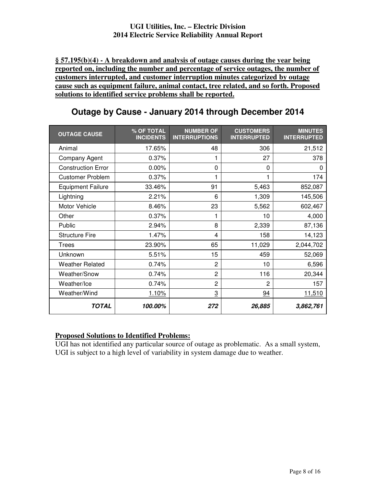**§ 57.195(b)(4) - A breakdown and analysis of outage causes during the year being reported on, including the number and percentage of service outages, the number of customers interrupted, and customer interruption minutes categorized by outage cause such as equipment failure, animal contact, tree related, and so forth. Proposed solutions to identified service problems shall be reported.** 

| <b>OUTAGE CAUSE</b>       | % OF TOTAL<br><b>INCIDENTS</b> | <b>NUMBER OF</b><br><b>INTERRUPTIONS</b> | <b>CUSTOMERS</b><br><b>INTERRUPTED</b> | <b>MINUTES</b><br><b>INTERRUPTED</b> |
|---------------------------|--------------------------------|------------------------------------------|----------------------------------------|--------------------------------------|
| Animal                    | 17.65%                         | 48                                       | 306                                    | 21,512                               |
| Company Agent             | 0.37%                          | 1                                        | 27                                     | 378                                  |
| <b>Construction Error</b> | 0.00%                          | 0                                        | 0                                      | 0                                    |
| <b>Customer Problem</b>   | 0.37%                          | 1                                        |                                        | 174                                  |
| <b>Equipment Failure</b>  | 33.46%                         | 91                                       | 5,463                                  | 852,087                              |
| Lightning                 | 2.21%                          | 6                                        | 1,309                                  | 145,506                              |
| Motor Vehicle             | 8.46%                          | 23                                       | 5,562                                  | 602,467                              |
| Other                     | 0.37%                          |                                          | 10                                     | 4,000                                |
| Public                    | 2.94%                          | 8                                        | 2,339                                  | 87,136                               |
| <b>Structure Fire</b>     | 1.47%                          | 4                                        | 158                                    | 14,123                               |
| <b>Trees</b>              | 23.90%                         | 65                                       | 11,029                                 | 2,044,702                            |
| Unknown                   | 5.51%                          | 15                                       | 459                                    | 52,069                               |
| <b>Weather Related</b>    | 0.74%                          | $\overline{2}$                           | 10                                     | 6,596                                |
| Weather/Snow              | 0.74%                          | $\overline{2}$                           | 116                                    | 20,344                               |
| Weather/Ice               | 0.74%                          | $\overline{2}$                           | $\overline{2}$                         | 157                                  |
| Weather/Wind              | 1.10%                          | $\overline{3}$                           | 94                                     | 11,510                               |
| TOTAL                     | 100.00%                        | 272                                      | 26,885                                 | 3,862,761                            |

### **Outage by Cause - January 2014 through December 2014**

### **Proposed Solutions to Identified Problems:**

UGI has not identified any particular source of outage as problematic. As a small system, UGI is subject to a high level of variability in system damage due to weather.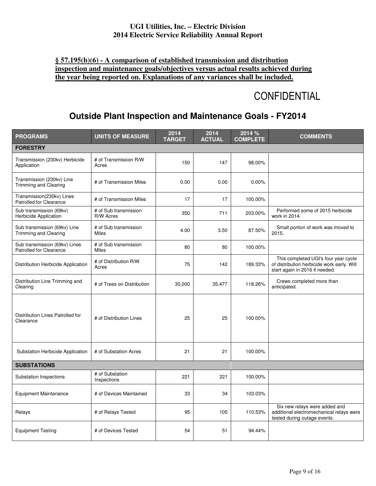### **§ 57.195(b)(6) - A comparison of established transmission and distribution inspection and maintenance goals/objectives versus actual results achieved during the year being reported on. Explanations of any variances shall be included.**

# **CONFIDENTIAL**

### **Outside Plant Inspection and Maintenance Goals - FY2014**

| <b>PROGRAMS</b>                                                 | <b>UNITS OF MEASURE</b>               | 2014<br><b>TARGET</b> | 2014<br><b>ACTUAL</b> | 2014 %<br><b>COMPLETE</b> | <b>COMMENTS</b>                                                                                                      |
|-----------------------------------------------------------------|---------------------------------------|-----------------------|-----------------------|---------------------------|----------------------------------------------------------------------------------------------------------------------|
| <b>FORESTRY</b>                                                 |                                       |                       |                       |                           |                                                                                                                      |
| Transmission (230kv) Herbicide<br>Application                   | # of Transmission R/W<br>Acres        | 150                   | 147                   | 98.00%                    |                                                                                                                      |
| Transmission (230kv) Line<br><b>Trimming and Clearing</b>       | # of Transmission Miles               | 0.00                  | 0.00                  | 0.00%                     |                                                                                                                      |
| Transmission(230kv) Lines<br><b>Patrolled for Clearance</b>     | # of Transmission Miles               | 17                    | 17                    | 100.00%                   |                                                                                                                      |
| Sub transmission (69kv)<br>Herbicide Application                | # of Sub transmission<br>R/W Acres    | 350                   | 711                   | 203.00%                   | Performed some of 2015 herbicide<br>work in 2014.                                                                    |
| Sub transmission (69kv) Line<br>Trimming and Clearing           | # of Sub transmission<br>Miles        | 4.00                  | 3.50                  | 87.50%                    | Small portion of work was moved to<br>2015.                                                                          |
| Sub transmission (69kv) Lines<br><b>Patrolled for Clearance</b> | # of Sub transmission<br><b>Miles</b> | 80                    | 80                    | 100.00%                   |                                                                                                                      |
| Distribution Herbicide Application                              | # of Distribution R/W<br>Acres        | 75                    | 142                   | 189.33%                   | This completed UGI's four year cycle<br>of distribution herbicide work early. Will<br>start again in 2016 if needed. |
| Distribution Line Trimming and<br>Clearing                      | # of Trees on Distribution            | 30,000                | 35,477                | 118.26%                   | Crews completed more than<br>anticipated.                                                                            |
| Distribution Lines Patrolled for<br>Clearance                   | # of Distribution Lines               | 25                    | 25                    | 100.00%                   |                                                                                                                      |
| Substation Herbicide Application                                | # of Substation Acres                 | 21                    | 21                    | 100.00%                   |                                                                                                                      |
| <b>SUBSTATIONS</b>                                              |                                       |                       |                       |                           |                                                                                                                      |
| Substation Inspections                                          | # of Substation<br>Inspections        | 221                   | 221                   | 100.00%                   |                                                                                                                      |
| <b>Equipment Maintenance</b>                                    | # of Devices Maintained               | 33                    | 34                    | 103.03%                   |                                                                                                                      |
| Relays                                                          | # of Relays Tested                    | 95                    | 105                   | 110.53%                   | Six new relays were added and<br>additional electromechanical relays were<br>tested during outage events.            |
| <b>Equipment Testing</b>                                        | # of Devices Tested                   | 54                    | 51                    | 94.44%                    |                                                                                                                      |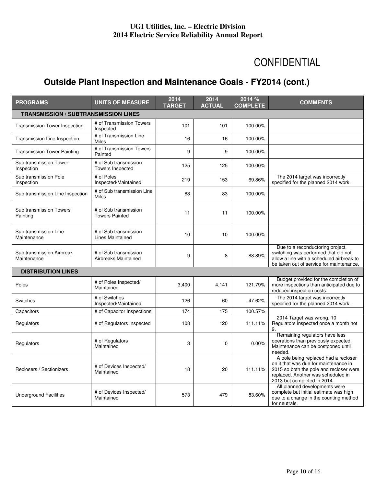# CONFIDENTIAL

## **Outside Plant Inspection and Maintenance Goals - FY2014 (cont.)**

| <b>PROGRAMS</b>                             | <b>UNITS OF MEASURE</b>                          | 2014<br><b>TARGET</b> | 2014<br><b>ACTUAL</b> | 2014 %<br><b>COMPLETE</b> | <b>COMMENTS</b>                                                                                                                                                                               |
|---------------------------------------------|--------------------------------------------------|-----------------------|-----------------------|---------------------------|-----------------------------------------------------------------------------------------------------------------------------------------------------------------------------------------------|
| <b>TRANSMISSION / SUBTRANSMISSION LINES</b> |                                                  |                       |                       |                           |                                                                                                                                                                                               |
| <b>Transmission Tower Inspection</b>        | # of Transmission Towers<br>Inspected            | 101                   | 101                   | 100.00%                   |                                                                                                                                                                                               |
| Transmission Line Inspection                | # of Transmission Line<br><b>Miles</b>           | 16                    | 16                    | 100.00%                   |                                                                                                                                                                                               |
| <b>Transmission Tower Painting</b>          | # of Transmission Towers<br>Painted              | 9                     | 9                     | 100.00%                   |                                                                                                                                                                                               |
| Sub transmission Tower<br>Inspection        | # of Sub transmission<br><b>Towers Inspected</b> | 125                   | 125                   | 100.00%                   |                                                                                                                                                                                               |
| Sub transmission Pole<br>Inspection         | # of Poles<br>Inspected/Maintained               | 219                   | 153                   | 69.86%                    | The 2014 target was incorrectly<br>specified for the planned 2014 work.                                                                                                                       |
| Sub transmission Line Inspection            | # of Sub transmission Line<br><b>Miles</b>       | 83                    | 83                    | 100.00%                   |                                                                                                                                                                                               |
| Sub transmission Towers<br>Painting         | # of Sub transmission<br><b>Towers Painted</b>   | 11                    | 11                    | 100.00%                   |                                                                                                                                                                                               |
| Sub transmission Line<br>Maintenance        | # of Sub transmission<br><b>Lines Maintained</b> | 10                    | 10                    | 100.00%                   |                                                                                                                                                                                               |
| Sub transmission Airbreak<br>Maintenance    | # of Sub transmission<br>Airbreaks Maintained    | 9                     | 8                     | 88.89%                    | Due to a reconductoring project,<br>switching was performed that did not<br>allow a line with a scheduled airbreak to<br>be taken out of service for maintenance.                             |
| <b>DISTRIBUTION LINES</b>                   |                                                  |                       |                       |                           |                                                                                                                                                                                               |
| Poles                                       | # of Poles Inspected/<br>Maintained              | 3,400                 | 4,141                 | 121.79%                   | Budget provided for the completion of<br>more inspections than anticipated due to<br>reduced inspection costs.                                                                                |
| Switches                                    | # of Switches<br>Inspected/Maintained            | 126                   | 60                    | 47.62%                    | The 2014 target was incorrectly<br>specified for the planned 2014 work.                                                                                                                       |
| Capacitors                                  | # of Capacitor Inspections                       | 174                   | 175                   | 100.57%                   |                                                                                                                                                                                               |
| Regulators                                  | # of Regulators Inspected                        | 108                   | 120                   | 111.11%                   | 2014 Target was wrong. 10<br>Regulators inspected once a month not<br>9.                                                                                                                      |
| Regulators                                  | # of Regulators<br>Maintained                    | 3                     | 0                     | 0.00%                     | Remaining regulators have less<br>operations than previously expected.<br>Maintenance can be postponed until<br>needed.                                                                       |
| Reclosers / Sectionizers                    | # of Devices Inspected/<br>Maintained            | 18                    | 20                    | 111.11%                   | A pole being replaced had a recloser<br>on it that was due for maintenance in<br>2015 so both the pole and recloser were<br>replaced. Another was scheduled in<br>2013 but completed in 2014. |
| <b>Underground Facilities</b>               | # of Devices Inspected/<br>Maintained            | 573                   | 479                   | 83.60%                    | All planned developments were<br>complete but initial estimate was high<br>due to a change in the counting method<br>for neutrals.                                                            |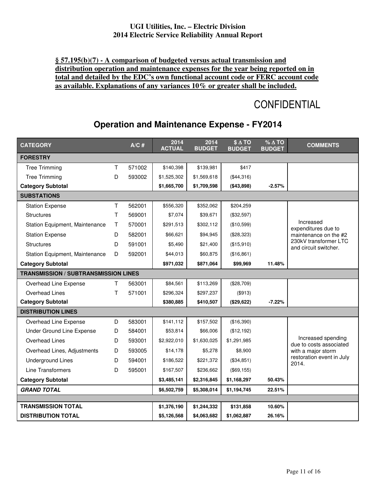### **§ 57.195(b)(7) - A comparison of budgeted versus actual transmission and distribution operation and maintenance expenses for the year being reported on in total and detailed by the EDC's own functional account code or FERC account code as available. Explanations of any variances 10% or greater shall be included.**

# **CONFIDENTIAL**

### **Operation and Maintenance Expense - FY2014**

| <b>CATEGORY</b>                             |              | $A/C$ # | 2014<br><b>ACTUAL</b> | 2014<br><b>BUDGET</b> | $$ \Delta$ TO<br><b>BUDGET</b> | $% \triangle TO$<br><b>BUDGET</b> | <b>COMMENTS</b>                                |  |
|---------------------------------------------|--------------|---------|-----------------------|-----------------------|--------------------------------|-----------------------------------|------------------------------------------------|--|
| <b>FORESTRY</b>                             |              |         |                       |                       |                                |                                   |                                                |  |
| <b>Tree Trimming</b>                        | т            | 571002  | \$140,398             | \$139,981             | \$417                          |                                   |                                                |  |
| <b>Tree Trimming</b>                        | D            | 593002  | \$1,525,302           | \$1,569,618           | (\$44,316)                     |                                   |                                                |  |
| <b>Category Subtotal</b>                    |              |         | \$1,665,700           | \$1,709,598           | (\$43,898)                     | $-2.57%$                          |                                                |  |
| <b>SUBSTATIONS</b>                          |              |         |                       |                       |                                |                                   |                                                |  |
| <b>Station Expense</b>                      | Τ            | 562001  | \$556,320             | \$352,062             | \$204,259                      |                                   |                                                |  |
| <b>Structures</b>                           | $\mathsf{T}$ | 569001  | \$7,074               | \$39,671              | (\$32,597)                     |                                   |                                                |  |
| Station Equipment, Maintenance              | $\top$       | 570001  | \$291,513             | \$302,112             | (\$10,599)                     |                                   | Increased<br>expenditures due to               |  |
| <b>Station Expense</b>                      | D            | 582001  | \$66,621              | \$94,945              | (\$28,323)                     |                                   | maintenance on the #2                          |  |
| <b>Structures</b>                           | D            | 591001  | \$5,490               | \$21,400              | (\$15,910)                     |                                   | 230kV transformer LTC<br>and circuit switcher. |  |
| Station Equipment, Maintenance              | D            | 592001  | \$44,013              | \$60,875              | (\$16,861)                     |                                   |                                                |  |
| <b>Category Subtotal</b>                    |              |         | \$971,032             | \$871,064             | \$99,969                       | 11.48%                            |                                                |  |
| <b>TRANSMISSION / SUBTRANSMISSION LINES</b> |              |         |                       |                       |                                |                                   |                                                |  |
| Overhead Line Expense                       | т            | 563001  | \$84,561              | \$113,269             | (\$28,709)                     |                                   |                                                |  |
| Overhead Lines                              | т            | 571001  | \$296,324             | \$297,237             | (\$913)                        |                                   |                                                |  |
| <b>Category Subtotal</b>                    |              |         | \$380,885             | \$410,507             | (\$29,622)                     | $-7.22%$                          |                                                |  |
| <b>DISTRIBUTION LINES</b>                   |              |         |                       |                       |                                |                                   |                                                |  |
| Overhead Line Expense                       | D            | 583001  | \$141,112             | \$157,502             | (\$16,390)                     |                                   |                                                |  |
| Under Ground Line Expense                   | D            | 584001  | \$53,814              | \$66,006              | (\$12,192)                     |                                   |                                                |  |
| Overhead Lines                              | D            | 593001  | \$2,922,010           | \$1,630,025           | \$1,291,985                    |                                   | Increased spending<br>due to costs associated  |  |
| Overhead Lines, Adjustments                 | D            | 593005  | \$14,178              | \$5,278               | \$8,900                        |                                   | with a major storm                             |  |
| <b>Underground Lines</b>                    | D            | 594001  | \$186,522             | \$221,372             | (\$34,851)                     |                                   | restoration event in July<br>2014.             |  |
| Line Transformers                           | D            | 595001  | \$167,507             | \$236,662             | (\$69, 155)                    |                                   |                                                |  |
| <b>Category Subtotal</b>                    |              |         | \$3,485,141           | \$2,316,845           | \$1,168,297                    | 50.43%                            |                                                |  |
| <b>GRAND TOTAL</b>                          |              |         | \$6,502,759           | \$5,308,014           | \$1,194,745                    | 22.51%                            |                                                |  |
|                                             |              |         |                       |                       |                                |                                   |                                                |  |
| <b>TRANSMISSION TOTAL</b>                   |              |         | \$1,376,190           | \$1,244,332           | \$131,858                      | 10.60%                            |                                                |  |
| <b>DISTRIBUTION TOTAL</b>                   |              |         | \$5,126,568           | \$4,063,682           | \$1,062,887                    | 26.16%                            |                                                |  |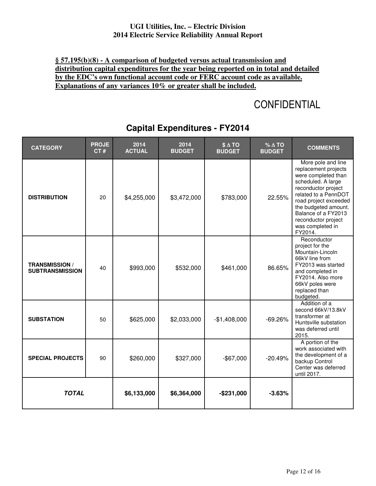### **§ 57.195(b)(8) - A comparison of budgeted versus actual transmission and distribution capital expenditures for the year being reported on in total and detailed by the EDC's own functional account code or FERC account code as available. Explanations of any variances 10% or greater shall be included.**

# **CONFIDENTIAL**

| <b>CATEGORY</b>                                 | <b>PROJE</b><br>CT# | 2014<br><b>ACTUAL</b> | 2014<br><b>BUDGET</b> | $$ \triangle$ TO<br><b>BUDGET</b> | $% \triangle TO$<br><b>BUDGET</b> | <b>COMMENTS</b>                                                                                                                                                                                                                                                      |
|-------------------------------------------------|---------------------|-----------------------|-----------------------|-----------------------------------|-----------------------------------|----------------------------------------------------------------------------------------------------------------------------------------------------------------------------------------------------------------------------------------------------------------------|
| <b>DISTRIBUTION</b>                             | 20                  | \$4,255,000           | \$3,472,000           | \$783,000                         | 22.55%                            | More pole and line<br>replacement projects<br>were completed than<br>scheduled. A large<br>reconductor project<br>related to a PennDOT<br>road project exceeded<br>the budgeted amount.<br>Balance of a FY2013<br>reconductor project<br>was completed in<br>FY2014. |
| <b>TRANSMISSION /</b><br><b>SUBTRANSMISSION</b> | 40                  | \$993,000             | \$532,000             | \$461,000                         | 86.65%                            | Reconductor<br>project for the<br>Mountain-Lincoln<br>66kV line from<br>FY2013 was started<br>and completed in<br>FY2014. Also more<br>66kV poles were<br>replaced than<br>budgeted.                                                                                 |
| <b>SUBSTATION</b>                               | 50                  | \$625,000             | \$2,033,000           | $-$1,408,000$                     | $-69.26%$                         | Addition of a<br>second 66kV/13.8kV<br>transformer at<br>Huntsville substation<br>was deferred until<br>2015.                                                                                                                                                        |
| <b>SPECIAL PROJECTS</b>                         | 90                  | \$260,000             | \$327,000             | $-$67,000$                        | $-20.49%$                         | A portion of the<br>work associated with<br>the development of a<br>backup Control<br>Center was deferred<br>until 2017.                                                                                                                                             |
| <b>TOTAL</b>                                    |                     | \$6,133,000           | \$6,364,000           | $-$ \$231,000                     | $-3.63%$                          |                                                                                                                                                                                                                                                                      |

### **Capital Expenditures - FY2014**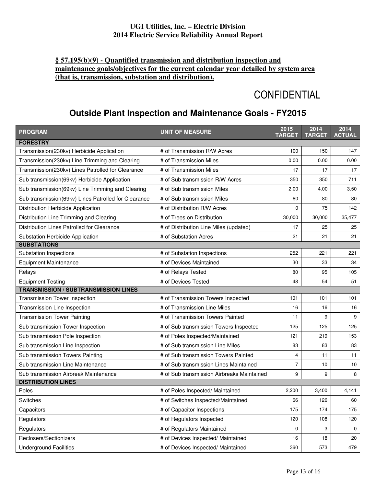### **§ 57.195(b)(9) - Quantified transmission and distribution inspection and maintenance goals/objectives for the current calendar year detailed by system area (that is, transmission, substation and distribution).**

# **CONFIDENTIAL**

### **Outside Plant Inspection and Maintenance Goals - FY2015**

| <b>PROGRAM</b>                                       | <b>UNIT OF MEASURE</b>                     | 2015<br><b>TARGET</b> | 2014<br><b>TARGET</b> | 2014<br><b>ACTUAL</b> |
|------------------------------------------------------|--------------------------------------------|-----------------------|-----------------------|-----------------------|
| <b>FORESTRY</b>                                      |                                            |                       |                       |                       |
| Transmission(230kv) Herbicide Application            | # of Transmission R/W Acres                | 100                   | 150                   | 147                   |
| Transmission(230kv) Line Trimming and Clearing       | # of Transmission Miles                    | 0.00                  | 0.00                  | 0.00                  |
| Transmission(230kv) Lines Patrolled for Clearance    | # of Transmission Miles                    | 17                    | 17                    | 17                    |
| Sub transmission(69kv) Herbicide Application         | # of Sub transmission R/W Acres            | 350                   | 350                   | 711                   |
| Sub transmission(69kv) Line Trimming and Clearing    | # of Sub transmission Miles                | 2.00                  | 4.00                  | 3.50                  |
| Sub transmission(69kv) Lines Patrolled for Clearance | # of Sub transmission Miles                | 80                    | 80                    | 80                    |
| Distribution Herbicide Application                   | # of Distribution R/W Acres                | 0                     | 75                    | 142                   |
| Distribution Line Trimming and Clearing              | # of Trees on Distribution                 | 30,000                | 30,000                | 35,477                |
| Distribution Lines Patrolled for Clearance           | # of Distribution Line Miles (updated)     | 17                    | 25                    | 25                    |
| Substation Herbicide Application                     | # of Substation Acres                      | 21                    | 21                    | 21                    |
| <b>SUBSTATIONS</b>                                   |                                            |                       |                       |                       |
| Substation Inspections                               | # of Substation Inspections                | 252                   | 221                   | 221                   |
| <b>Equipment Maintenance</b>                         | # of Devices Maintained                    | 30                    | 33                    | 34                    |
| Relays                                               | # of Relays Tested                         | 80                    | 95                    | 105                   |
| <b>Equipment Testing</b>                             | # of Devices Tested                        | 48                    | 54                    | 51                    |
| <b>TRANSMISSION / SUBTRANSMISSION LINES</b>          |                                            |                       |                       |                       |
| Transmission Tower Inspection                        | # of Transmission Towers Inspected         | 101                   | 101                   | 101                   |
| Transmission Line Inspection                         | # of Transmission Line Miles               | 16                    | 16                    | 16                    |
| <b>Transmission Tower Painting</b>                   | # of Transmission Towers Painted           | 11                    | 9                     | 9                     |
| Sub transmission Tower Inspection                    | # of Sub transmission Towers Inspected     | 125                   | 125                   | 125                   |
| Sub transmission Pole Inspection                     | # of Poles Inspected/Maintained            | 121                   | 219                   | 153                   |
| Sub transmission Line Inspection                     | # of Sub transmission Line Miles           | 83                    | 83                    | 83                    |
| Sub transmission Towers Painting                     | # of Sub transmission Towers Painted       | $\overline{4}$        | 11                    | 11                    |
| Sub transmission Line Maintenance                    | # of Sub transmission Lines Maintained     | $\overline{7}$        | 10                    | 10                    |
| Sub transmission Airbreak Maintenance                | # of Sub transmission Airbreaks Maintained | 9                     | 9                     | 8                     |
| <b>DISTRIBUTION LINES</b>                            |                                            |                       |                       |                       |
| Poles                                                | # of Poles Inspected/ Maintained           | 2,200                 | 3,400                 | 4,141                 |
| Switches                                             | # of Switches Inspected/Maintained         | 66                    | 126                   | 60                    |
| Capacitors                                           | # of Capacitor Inspections                 | 175                   | 174                   | 175                   |
| Regulators                                           | # of Regulators Inspected                  | 120                   | 108                   | 120                   |
| Regulators                                           | # of Regulators Maintained                 | 0                     | 3                     | $\mathbf 0$           |
| Reclosers/Sectionizers                               | # of Devices Inspected/ Maintained         | 16                    | 18                    | 20                    |
| <b>Underground Facilities</b>                        | # of Devices Inspected/ Maintained         | 360                   | 573                   | 479                   |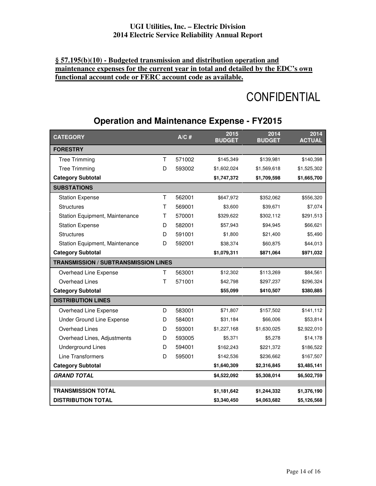### **§ 57.195(b)(10) - Budgeted transmission and distribution operation and maintenance expenses for the current year in total and detailed by the EDC's own functional account code or FERC account code as available.**

# **CONFIDENTIAL**

### **Operation and Maintenance Expense - FY2015**

| <b>CATEGORY</b>                             |   | $A/C$ # | 2015<br><b>BUDGET</b> | 2014<br><b>BUDGET</b> | 2014<br><b>ACTUAL</b> |
|---------------------------------------------|---|---------|-----------------------|-----------------------|-----------------------|
| <b>FORESTRY</b>                             |   |         |                       |                       |                       |
| <b>Tree Trimming</b>                        | Τ | 571002  | \$145,349             | \$139,981             | \$140,398             |
| <b>Tree Trimming</b>                        | D | 593002  | \$1,602,024           | \$1,569,618           | \$1,525,302           |
| <b>Category Subtotal</b>                    |   |         | \$1,747,372           | \$1,709,598           | \$1,665,700           |
| <b>SUBSTATIONS</b>                          |   |         |                       |                       |                       |
| <b>Station Expense</b>                      | T | 562001  | \$647,972             | \$352,062             | \$556,320             |
| <b>Structures</b>                           | Τ | 569001  | \$3,600               | \$39,671              | \$7,074               |
| Station Equipment, Maintenance              | т | 570001  | \$329,622             | \$302,112             | \$291,513             |
| <b>Station Expense</b>                      | D | 582001  | \$57,943              | \$94,945              | \$66,621              |
| <b>Structures</b>                           | D | 591001  | \$1,800               | \$21,400              | \$5,490               |
| Station Equipment, Maintenance              | D | 592001  | \$38,374              | \$60,875              | \$44,013              |
| <b>Category Subtotal</b>                    |   |         | \$1,079,311           | \$871,064             | \$971,032             |
| <b>TRANSMISSION / SUBTRANSMISSION LINES</b> |   |         |                       |                       |                       |
| Overhead Line Expense                       | Τ | 563001  | \$12,302              | \$113,269             | \$84,561              |
| Overhead Lines                              | Τ | 571001  | \$42,798              | \$297,237             | \$296,324             |
| <b>Category Subtotal</b>                    |   |         | \$55,099              | \$410,507             | \$380,885             |
| <b>DISTRIBUTION LINES</b>                   |   |         |                       |                       |                       |
| Overhead Line Expense                       | D | 583001  | \$71,807              | \$157,502             | \$141,112             |
| <b>Under Ground Line Expense</b>            | D | 584001  | \$31,184              | \$66,006              | \$53,814              |
| Overhead Lines                              | D | 593001  | \$1,227,168           | \$1,630,025           | \$2,922,010           |
| Overhead Lines, Adjustments                 | D | 593005  | \$5,371               | \$5,278               | \$14,178              |
| <b>Underground Lines</b>                    | D | 594001  | \$162,243             | \$221,372             | \$186,522             |
| <b>Line Transformers</b>                    | D | 595001  | \$142,536             | \$236,662             | \$167,507             |
| <b>Category Subtotal</b>                    |   |         | \$1,640,309           | \$2,316,845           | \$3,485,141           |
| <b>GRAND TOTAL</b>                          |   |         | \$4,522,092           | \$5,308,014           | \$6,502,759           |
|                                             |   |         |                       |                       |                       |
| <b>TRANSMISSION TOTAL</b>                   |   |         | \$1,181,642           | \$1,244,332           | \$1,376,190           |
| <b>DISTRIBUTION TOTAL</b>                   |   |         | \$3,340,450           | \$4,063,682           | \$5,126,568           |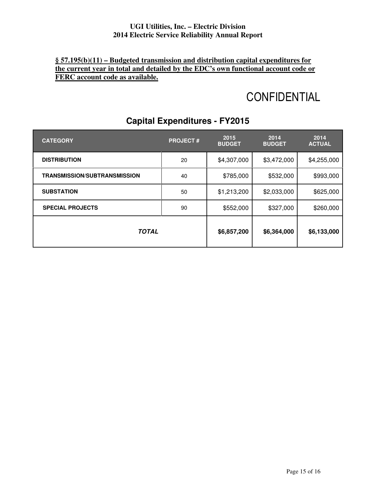### **§ 57.195(b)(11) – Budgeted transmission and distribution capital expenditures for the current year in total and detailed by the EDC's own functional account code or FERC account code as available.**

# **CONFIDENTIAL**

| <b>CATEGORY</b>                     | <b>PROJECT#</b> | 2015<br><b>BUDGET</b> | 2014<br><b>BUDGET</b> | 2014<br><b>ACTUAL</b> |
|-------------------------------------|-----------------|-----------------------|-----------------------|-----------------------|
| <b>DISTRIBUTION</b>                 | 20              | \$4,307,000           | \$3,472,000           | \$4,255,000           |
| <b>TRANSMISSION/SUBTRANSMISSION</b> | 40              | \$785,000             | \$532,000             | \$993,000             |
| <b>SUBSTATION</b>                   | 50              | \$1,213,200           | \$2,033,000           | \$625,000             |
| <b>SPECIAL PROJECTS</b>             | 90              | \$552,000             | \$327,000             | \$260,000             |
| <b>TOTAL</b>                        | \$6,857,200     | \$6,364,000           | \$6,133,000           |                       |

### **Capital Expenditures - FY2015**